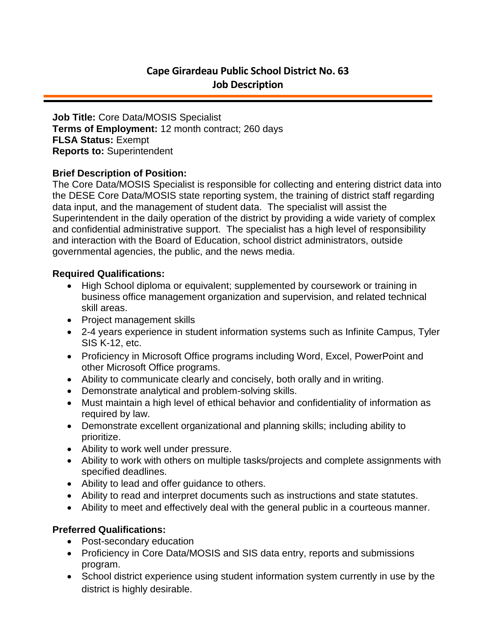**Job Title:** Core Data/MOSIS Specialist **Terms of Employment:** 12 month contract; 260 days **FLSA Status:** Exempt **Reports to:** Superintendent

## **Brief Description of Position:**

The Core Data/MOSIS Specialist is responsible for collecting and entering district data into the DESE Core Data/MOSIS state reporting system, the training of district staff regarding data input, and the management of student data. The specialist will assist the Superintendent in the daily operation of the district by providing a wide variety of complex and confidential administrative support. The specialist has a high level of responsibility and interaction with the Board of Education, school district administrators, outside governmental agencies, the public, and the news media.

## **Required Qualifications:**

- High School diploma or equivalent; supplemented by coursework or training in business office management organization and supervision, and related technical skill areas.
- Project management skills
- 2-4 years experience in student information systems such as Infinite Campus, Tyler SIS K-12, etc.
- Proficiency in Microsoft Office programs including Word, Excel, PowerPoint and other Microsoft Office programs.
- Ability to communicate clearly and concisely, both orally and in writing.
- Demonstrate analytical and problem-solving skills.
- Must maintain a high level of ethical behavior and confidentiality of information as required by law.
- Demonstrate excellent organizational and planning skills; including ability to prioritize.
- Ability to work well under pressure.
- Ability to work with others on multiple tasks/projects and complete assignments with specified deadlines.
- Ability to lead and offer guidance to others.
- Ability to read and interpret documents such as instructions and state statutes.
- Ability to meet and effectively deal with the general public in a courteous manner.

# **Preferred Qualifications:**

- Post-secondary education
- Proficiency in Core Data/MOSIS and SIS data entry, reports and submissions program.
- School district experience using student information system currently in use by the district is highly desirable.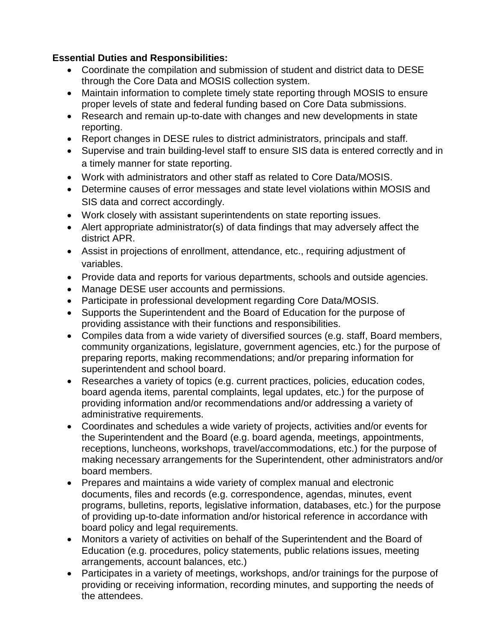# **Essential Duties and Responsibilities:**

- Coordinate the compilation and submission of student and district data to DESE through the Core Data and MOSIS collection system.
- Maintain information to complete timely state reporting through MOSIS to ensure proper levels of state and federal funding based on Core Data submissions.
- Research and remain up-to-date with changes and new developments in state reporting.
- Report changes in DESE rules to district administrators, principals and staff.
- Supervise and train building-level staff to ensure SIS data is entered correctly and in a timely manner for state reporting.
- Work with administrators and other staff as related to Core Data/MOSIS.
- Determine causes of error messages and state level violations within MOSIS and SIS data and correct accordingly.
- Work closely with assistant superintendents on state reporting issues.
- Alert appropriate administrator(s) of data findings that may adversely affect the district APR.
- Assist in projections of enrollment, attendance, etc., requiring adjustment of variables.
- Provide data and reports for various departments, schools and outside agencies.
- Manage DESE user accounts and permissions.
- Participate in professional development regarding Core Data/MOSIS.
- Supports the Superintendent and the Board of Education for the purpose of providing assistance with their functions and responsibilities.
- Compiles data from a wide variety of diversified sources (e.g. staff, Board members, community organizations, legislature, government agencies, etc.) for the purpose of preparing reports, making recommendations; and/or preparing information for superintendent and school board.
- Researches a variety of topics (e.g. current practices, policies, education codes, board agenda items, parental complaints, legal updates, etc.) for the purpose of providing information and/or recommendations and/or addressing a variety of administrative requirements.
- Coordinates and schedules a wide variety of projects, activities and/or events for the Superintendent and the Board (e.g. board agenda, meetings, appointments, receptions, luncheons, workshops, travel/accommodations, etc.) for the purpose of making necessary arrangements for the Superintendent, other administrators and/or board members.
- Prepares and maintains a wide variety of complex manual and electronic documents, files and records (e.g. correspondence, agendas, minutes, event programs, bulletins, reports, legislative information, databases, etc.) for the purpose of providing up-to-date information and/or historical reference in accordance with board policy and legal requirements.
- Monitors a variety of activities on behalf of the Superintendent and the Board of Education (e.g. procedures, policy statements, public relations issues, meeting arrangements, account balances, etc.)
- Participates in a variety of meetings, workshops, and/or trainings for the purpose of providing or receiving information, recording minutes, and supporting the needs of the attendees.